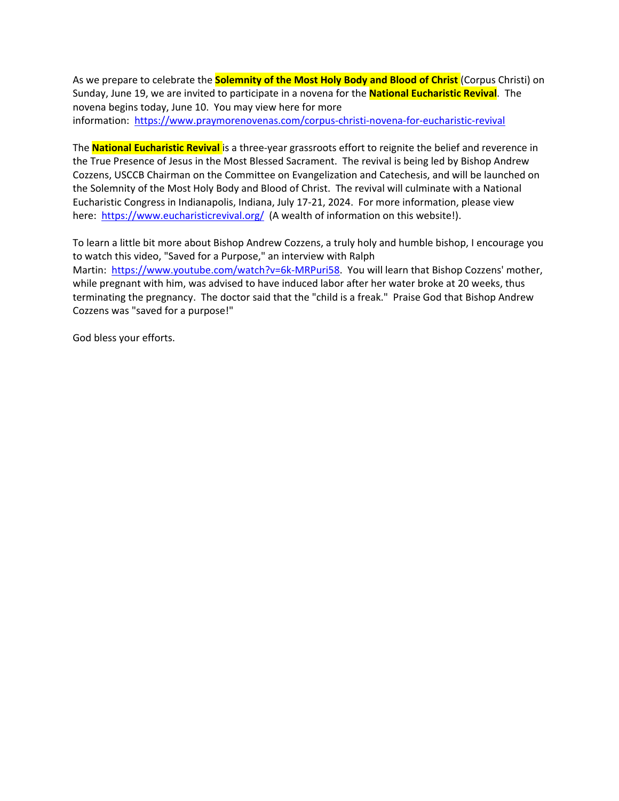As we prepare to celebrate the **Solemnity of the Most Holy Body and Blood of Christ** (Corpus Christi) on Sunday, June 19, we are invited to participate in a novena for the **National Eucharistic Revival**. The novena begins today, June 10. You may view here for more information: <https://www.praymorenovenas.com/corpus-christi-novena-for-eucharistic-revival>

The **National Eucharistic Revival** is a three-year grassroots effort to reignite the belief and reverence in the True Presence of Jesus in the Most Blessed Sacrament. The revival is being led by Bishop Andrew Cozzens, USCCB Chairman on the Committee on Evangelization and Catechesis, and will be launched on the Solemnity of the Most Holy Body and Blood of Christ. The revival will culminate with a National Eucharistic Congress in Indianapolis, Indiana, July 17-21, 2024. For more information, please view here: <https://www.eucharisticrevival.org/> (A wealth of information on this website!).

To learn a little bit more about Bishop Andrew Cozzens, a truly holy and humble bishop, I encourage you to watch this video, "Saved for a Purpose," an interview with Ralph Martin: [https://www.youtube.com/watch?v=6k-MRPuri58.](https://www.youtube.com/watch?v=6k-MRPuri58) You will learn that Bishop Cozzens' mother, while pregnant with him, was advised to have induced labor after her water broke at 20 weeks, thus terminating the pregnancy. The doctor said that the "child is a freak." Praise God that Bishop Andrew Cozzens was "saved for a purpose!"

God bless your efforts.